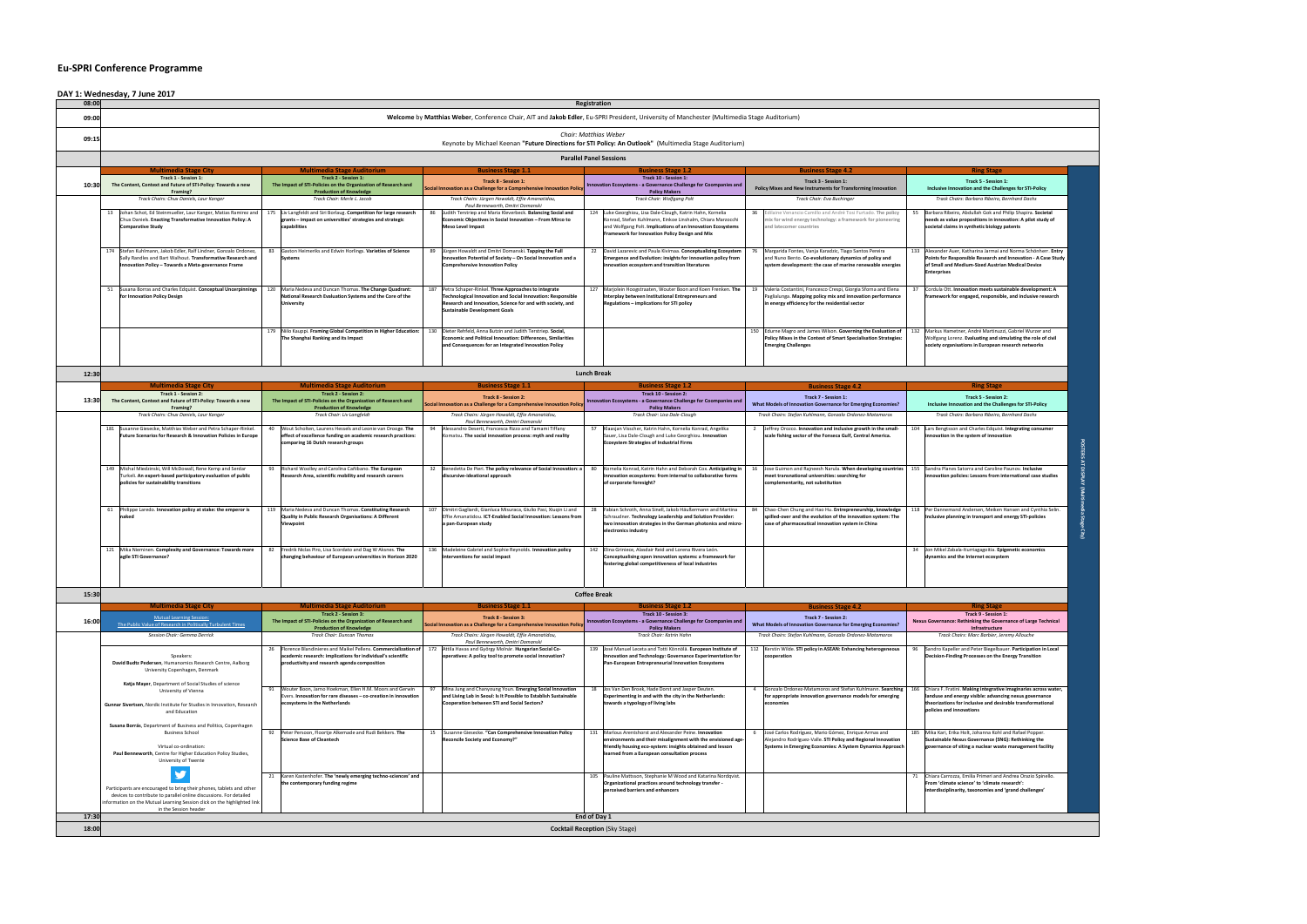## **Eu-SPRI Conference Programme**

|                                                                                                                                                                                              |                                                                                                                                                                                                                   |     | <b>Parallel Panel Sessions</b>                                                                                                                                                         |     |                                                                                                                                                                                 |    |                                                                                                                                                                                  |  |  |
|----------------------------------------------------------------------------------------------------------------------------------------------------------------------------------------------|-------------------------------------------------------------------------------------------------------------------------------------------------------------------------------------------------------------------|-----|----------------------------------------------------------------------------------------------------------------------------------------------------------------------------------------|-----|---------------------------------------------------------------------------------------------------------------------------------------------------------------------------------|----|----------------------------------------------------------------------------------------------------------------------------------------------------------------------------------|--|--|
|                                                                                                                                                                                              | <b>Business Stage 1.1</b>                                                                                                                                                                                         |     | <b>Business Stage 1.2</b>                                                                                                                                                              |     | <b>Business Stage 4.2</b>                                                                                                                                                       |    | <b>Ring Stage</b>                                                                                                                                                                |  |  |
| <b>Track 8 - Session 1:</b><br>Social Innovation as a Challenge for a Comprehensive Innovation Policy<br>Track Chairs: Jürgen Howaldt, Effie Amanatidou,<br>Paul Benneworth, Dmitri Domanski |                                                                                                                                                                                                                   |     | Track 10 - Session 1:<br>Innovation Ecosystems - a Governance Challenge for Coompanies and<br><b>Policy Makers</b><br><b>Track Chair: Wolfgang Polt</b>                                |     | Track 3 - Session 1:<br>Policy Mixes and New Instruments for Transforming Innovation<br>Track Chair: Eva Buchinger                                                              |    | Track 5 - Session 1:<br>Inclusive Innovation and the Challenges for STI-P<br>Track Chairs: Barbara Ribeiro, Bernhard Dachs                                                       |  |  |
|                                                                                                                                                                                              |                                                                                                                                                                                                                   |     |                                                                                                                                                                                        |     |                                                                                                                                                                                 |    |                                                                                                                                                                                  |  |  |
| 89                                                                                                                                                                                           | Jürgen Howaldt and Dmitri Domanski. Tapping the Full<br>Innovation Potential of Society - On Social Innovation and a<br><b>Comprehensive Innovation Policy</b>                                                    | 22  | David Lazarevic and Paula Kivimaa. Conceptualizing Ecosystem<br><b>Emergence and Evolution: insights for innovation policy from</b><br>innovation ecosystem and transition literatures | 76  | Margarida Fontes, Vanja Karadzic, Tiago Santos Pereira<br>and Nuno Bento. Co-evolutionary dynamics of policy and<br>system development: the case of marine renewable energies   |    | 133 Alexander Auer, Katharina Jarmai and Norma Schö<br>Points for Responsible Research and Innovation -<br>of Small and Medium-Sized Austrian Medical Devi<br><b>Enterprises</b> |  |  |
| 187                                                                                                                                                                                          | Petra Schaper-Rinkel. Three Approaches to integrate<br>Technological Innovation and Social Innovation: Responsible<br>Research and Innovation, Science for and with society, and<br>Sustainable Development Goals | 127 | Marjolein Hoogstraaten, Wouter Boon and Koen Frenken. The<br>Interplay between Institutional Entrepreneurs and<br>Regulations - implications for STI policy                            | 19  | Valeria Costantini, Francesco Crespi, Giorgia Sforna and Elena<br>Paglialunga. Mapping policy mix and innovation performance<br>in energy efficiency for the residential sector | 37 | Cordula Ott. Innovation meets sustainable develo<br>framework for engaged, responsible, and inclusiv                                                                             |  |  |
|                                                                                                                                                                                              | Dieter Rehfeld, Anna Butzin and Judith Terstriep. Social,<br><b>Economic and Political Innovation: Differences, Similarities</b><br>and Consequences for an Integrated Innovation Policy                          |     |                                                                                                                                                                                        | 150 | Edurne Magro and James Wilson. Governing the Evaluation of<br>Policy Mixes in the Context of Smart Specialisation Strategies:<br><b>Emerging Challenges</b>                     |    | 132 Markus Hametner, André Martinuzzi, Gabriel Wurz<br>Wolfgang Lorenz. Evaluating and simulating the ro<br>society organisations in European research netwo                     |  |  |

| ge Auditorium)                                                                                                                                                                  |     |                                                                                                                                                                                                         |  |  |
|---------------------------------------------------------------------------------------------------------------------------------------------------------------------------------|-----|---------------------------------------------------------------------------------------------------------------------------------------------------------------------------------------------------------|--|--|
|                                                                                                                                                                                 |     |                                                                                                                                                                                                         |  |  |
| <b>Business Stage 4.2</b>                                                                                                                                                       |     | <b>Ring Stage</b>                                                                                                                                                                                       |  |  |
| Track 3 - Session 1:<br>olicy Mixes and New Instruments for Transforming Innovation                                                                                             |     | Track 5 - Session 1:<br>Inclusive Innovation and the Challenges for STI-Policy                                                                                                                          |  |  |
| Track Chair: Eva Buchinger                                                                                                                                                      |     | Track Chairs: Barbara Ribeiro, Bernhard Dachs                                                                                                                                                           |  |  |
| Edilaine Venancio Camillo and André Tosi Furtado. The policy<br>mix for wind energy technology: a framework for pioneering<br>and latecomer countries                           | 55  | Barbara Ribeiro, Abdullah Gok and Philip Shapira. Societal<br>needs as value propositions in innovation: A pilot study of<br>societal claims in synthetic biology patents                               |  |  |
| Margarida Fontes, Vanja Karadzic, Tiago Santos Pereira<br>and Nuno Bento. Co-evolutionary dynamics of policy and<br>system development: the case of marine renewable energies   | 133 | Alexander Auer, Katharina Jarmai and Norma Schönherr. Entry<br>Points for Responsible Research and Innovation - A Case Study<br>of Small and Medium-Sized Austrian Medical Device<br><b>Enterprises</b> |  |  |
| Valeria Costantini, Francesco Crespi, Giorgia Sforna and Elena<br>Paglialunga. Mapping policy mix and innovation performance<br>in energy efficiency for the residential sector | 37  | Cordula Ott. Innovation meets sustainable development: A<br>framework for engaged, responsible, and inclusive research                                                                                  |  |  |
| Edurne Magro and James Wilson. Governing the Evaluation of<br><b>Policy Mixes in the Context of Smart Specialisation Strategies:</b><br><b>Emerging Challenges</b>              | 132 | Markus Hametner, André Martinuzzi, Gabriel Wurzer and<br>Wolfgang Lorenz. Evaluating and simulating the role of civil<br>society organisations in European research networks                            |  |  |
|                                                                                                                                                                                 |     | <b>Ring Stage</b>                                                                                                                                                                                       |  |  |
| <b>Business Stage 4.2</b><br>Track 7 - Session 1:                                                                                                                               |     | <b>Track 5 - Session 2:</b>                                                                                                                                                                             |  |  |
| nat Models of Innovation Governance for Emerging Economies?<br>Track Chairs: Stefan Kuhlmann, Gonzalo Ordonez-Matamoros                                                         |     | Inclusive Innovation and the Challenges for STI-Policy<br>Track Chairs: Barbara Ribeiro, Bernhard Dachs                                                                                                 |  |  |
| Jeffrey Orozco. Innovation and inclusive growth in the small-<br>scale fishing sector of the Fonseca Gulf, Central America.                                                     | 104 | Lars Bengtsson and Charles Edquist. Integrating consumer<br>innovation in the system of innovation                                                                                                      |  |  |
| Jose Guimon and Rajneesh Narula. When developing countries<br>meet transnational universities: searching for<br>complementarity, not substitution                               | 155 | Sandra Planes Satorra and Caroline Paunov. Inclusive<br>innovation policies: Lessons from international case studies                                                                                    |  |  |
| Chao-Chen Chung and Hao Hu. Entrepreneurship, knowledge<br>spilled-over and the evolution of the innovation system: The<br>case of pharmaceutical innovation system in China    | 118 | Per Dannemand Andersen, Meiken Hansen and Cynthia Selin.<br>Inclusive planning in transport and energy STI-policies                                                                                     |  |  |
|                                                                                                                                                                                 | 34  | Jon Mikel Zabala-Iturriagagoitia. Epigenetic economics<br>dynamics and the Internet ecosystem                                                                                                           |  |  |
|                                                                                                                                                                                 |     |                                                                                                                                                                                                         |  |  |
| <b>Business Stage 4.2</b>                                                                                                                                                       |     | <b>Ring Stage</b><br>Track 9 - Session 1:                                                                                                                                                               |  |  |
| <b>Track 7 - Session 2:</b><br>nat Models of Innovation Governance for Emerging Economies?                                                                                      |     | Nexus Governance: Rethinking the Governance of Large Technical                                                                                                                                          |  |  |

| 08:00 |     |                                                                                                                             |                                                               |                                                                                                                             |                  |  |  |  |  |
|-------|-----|-----------------------------------------------------------------------------------------------------------------------------|---------------------------------------------------------------|-----------------------------------------------------------------------------------------------------------------------------|------------------|--|--|--|--|
| 09:00 |     |                                                                                                                             |                                                               | <b>Welcome by Matth</b>                                                                                                     |                  |  |  |  |  |
| 09:15 |     |                                                                                                                             |                                                               |                                                                                                                             |                  |  |  |  |  |
|       |     |                                                                                                                             |                                                               |                                                                                                                             |                  |  |  |  |  |
|       |     | <b>Multimedia Stage City</b>                                                                                                |                                                               | <b>Multimedia Stage Auditorium</b>                                                                                          |                  |  |  |  |  |
|       |     | <b>Track 1 - Session 1:</b>                                                                                                 |                                                               | <b>Track 2 - Session 1:</b>                                                                                                 |                  |  |  |  |  |
| 10:30 |     | The Content, Context and Future of STI-Policy: Towards a new<br>Framing?                                                    |                                                               | The Impact of STI-Policies on the Organization of Research and                                                              | Social In        |  |  |  |  |
|       |     | Track Chairs: Chux Daniels, Laur Kanger                                                                                     | <b>Production of Knowledge</b><br>Track Chair: Merle L. Jacob |                                                                                                                             |                  |  |  |  |  |
|       |     |                                                                                                                             |                                                               |                                                                                                                             |                  |  |  |  |  |
|       | 13  | Johan Schot, Ed Steinmueller, Laur Kanger, Matias Ramirez and<br>Chux Daniels. Enacting Transformative Innovation Policy: A | 175                                                           | Liv Langfeldt and Siri Borlaug. Competition for large research<br>grants – impact on universities' strategies and strategic | 86               |  |  |  |  |
|       |     | <b>Comparative Study</b>                                                                                                    |                                                               | capabilities                                                                                                                |                  |  |  |  |  |
|       |     |                                                                                                                             |                                                               |                                                                                                                             |                  |  |  |  |  |
|       |     |                                                                                                                             |                                                               |                                                                                                                             |                  |  |  |  |  |
|       | 174 | Stefan Kuhlmann, Jakob Edler, Ralf Lindner, Gonzalo Ordonez,                                                                | 83                                                            | Gaston Heimeriks and Edwin Horlings. Varieties of Science                                                                   | 89               |  |  |  |  |
|       |     | Sally Randles and Bart Walhout. Transformative Research and<br>Innovation Policy - Towards a Meta-governance Frame          |                                                               | <b>Systems</b>                                                                                                              |                  |  |  |  |  |
|       |     |                                                                                                                             |                                                               |                                                                                                                             |                  |  |  |  |  |
|       |     |                                                                                                                             |                                                               |                                                                                                                             |                  |  |  |  |  |
|       | 51  | Susana Borras and Charles Edquist. Conceptual Uncerpinnings                                                                 | 120                                                           | Maria Nedeva and Duncan Thomas. The Change Quadrant:                                                                        | 187              |  |  |  |  |
|       |     | for Innovation Policy Design                                                                                                |                                                               | National Research Evaluation Systems and the Core of the<br><b>University</b>                                               |                  |  |  |  |  |
|       |     |                                                                                                                             |                                                               |                                                                                                                             |                  |  |  |  |  |
|       |     |                                                                                                                             |                                                               |                                                                                                                             |                  |  |  |  |  |
|       |     |                                                                                                                             | 179                                                           | Niilo Kauppi. Framing Global Competition in Higher Education:                                                               | 130              |  |  |  |  |
|       |     |                                                                                                                             |                                                               | The Shanghai Ranking and its Impact                                                                                         |                  |  |  |  |  |
|       |     |                                                                                                                             |                                                               |                                                                                                                             |                  |  |  |  |  |
|       |     |                                                                                                                             |                                                               |                                                                                                                             |                  |  |  |  |  |
|       |     |                                                                                                                             |                                                               |                                                                                                                             |                  |  |  |  |  |
| 12:30 |     |                                                                                                                             |                                                               |                                                                                                                             |                  |  |  |  |  |
|       |     | <b>Multimedia Stage City</b>                                                                                                |                                                               | <b>Multimedia Stage Auditorium</b>                                                                                          |                  |  |  |  |  |
| 13:30 |     | <b>Track 1 - Session 2:</b><br>The Content, Context and Future of STI-Policy: Towards a new                                 |                                                               | <b>Track 2 - Session 2:</b><br>The Impact of STI-Policies on the Organization of Research and                               |                  |  |  |  |  |
|       |     | Framing?                                                                                                                    |                                                               | <b>Production of Knowledge</b>                                                                                              | <b>Social Ir</b> |  |  |  |  |
|       |     | Track Chairs: Chux Daniels, Laur Kanger                                                                                     |                                                               | Track Chair: Liv Langfeldt                                                                                                  |                  |  |  |  |  |
|       | 181 | Susanne Giesecke, Matthias Weber and Petra Schaper-Rinkel.                                                                  | 40                                                            | Wout Scholten, Laurens Hessels and Leonie van Drooge. The                                                                   | 94               |  |  |  |  |
|       |     | <b>Future Scenarios for Research &amp; Innovation Policies in Europe</b>                                                    |                                                               | effect of excellence funding on academic research practices:                                                                |                  |  |  |  |  |
|       |     |                                                                                                                             |                                                               | comparing 16 Dutch research groups                                                                                          |                  |  |  |  |  |
|       |     |                                                                                                                             |                                                               |                                                                                                                             |                  |  |  |  |  |
|       |     |                                                                                                                             |                                                               |                                                                                                                             |                  |  |  |  |  |
|       | 149 | Michal Miedzinski, Will McDowall, Rene Kemp and Serdar<br>Turkeli. An expert-based participatory evaluation of public       | 93                                                            | Richard Woolley and Carolina Cañibano. The European<br>Research Area, scientific mobility and research careers              | 32 <sup>2</sup>  |  |  |  |  |
|       |     | policies for sustainability transitions                                                                                     |                                                               |                                                                                                                             |                  |  |  |  |  |
|       |     |                                                                                                                             |                                                               |                                                                                                                             |                  |  |  |  |  |
|       |     |                                                                                                                             |                                                               |                                                                                                                             |                  |  |  |  |  |
|       | 61  | Philippe Laredo. Innovation policy at stake: the emperor is                                                                 | 119                                                           | Maria Nedeva and Duncan Thomas. Constituting Research                                                                       | 107              |  |  |  |  |
|       |     | naked                                                                                                                       |                                                               | Quality in Public Research Organisations: A Different<br>Viewpoint                                                          |                  |  |  |  |  |
|       |     |                                                                                                                             |                                                               |                                                                                                                             |                  |  |  |  |  |
|       |     |                                                                                                                             |                                                               |                                                                                                                             |                  |  |  |  |  |
|       | 121 | Mika Nieminen. Complexity and Governance: Towards more                                                                      | 82                                                            | Fredrik Niclas Piro, Lisa Scordato and Dag W Aksnes. The                                                                    | 136              |  |  |  |  |
|       |     | agile STI Governance?                                                                                                       |                                                               | changing behaviour of European universities in Horizon 2020                                                                 |                  |  |  |  |  |
|       |     |                                                                                                                             |                                                               |                                                                                                                             |                  |  |  |  |  |
|       |     |                                                                                                                             |                                                               |                                                                                                                             |                  |  |  |  |  |
|       |     |                                                                                                                             |                                                               |                                                                                                                             |                  |  |  |  |  |
| 15:30 |     |                                                                                                                             |                                                               |                                                                                                                             |                  |  |  |  |  |
|       |     | <b>Multimedia Stage City</b>                                                                                                |                                                               | <b>Multimedia Stage Auditorium</b>                                                                                          |                  |  |  |  |  |
| 16:00 |     | <b>Mutual Learning Session:</b>                                                                                             |                                                               | <b>Track 2 - Session 3:</b><br>The Impact of STI-Policies on the Organization of Research and                               | <b>Social Ir</b> |  |  |  |  |
|       |     | The Public Value of Research in Politically Turbulent Times                                                                 |                                                               | <b>Production of Knowledge</b>                                                                                              |                  |  |  |  |  |
|       |     | <b>Session Chair: Gemma Derrick</b>                                                                                         |                                                               | <b>Track Chair: Duncan Thomas</b>                                                                                           |                  |  |  |  |  |
|       |     |                                                                                                                             | 26                                                            | Florence Blandinieres and Maikel Pellens. Commercialization of                                                              | 172              |  |  |  |  |
|       |     | Speakers:<br>David Budtz Pedersen, Humanomics Research Centre, Aalborg                                                      |                                                               | academic research: implications for individual's scientific<br>productivity and research agenda composition                 |                  |  |  |  |  |
|       |     | University Copenhagen, Denmark                                                                                              |                                                               |                                                                                                                             |                  |  |  |  |  |
|       |     |                                                                                                                             |                                                               |                                                                                                                             |                  |  |  |  |  |
|       |     | Katja Mayer, Department of Social Studies of science<br>University of Vienna                                                | 91                                                            | Wouter Boon, Jarno Hoekman, Ellen H.M. Moors and Gerwin                                                                     | 97               |  |  |  |  |
|       |     |                                                                                                                             |                                                               | Evers. Innovation for rare diseases – co-creation in innovation                                                             |                  |  |  |  |  |
|       |     | Gunnar Sivertsen, Nordic Institute for Studies in Innovation, Research<br>and Education                                     |                                                               | ecosystems in the Netherlands                                                                                               |                  |  |  |  |  |
|       |     |                                                                                                                             |                                                               |                                                                                                                             |                  |  |  |  |  |
|       |     | Susana Borrás, Department of Business and Politics, Copenhagen                                                              |                                                               |                                                                                                                             |                  |  |  |  |  |
|       |     | <b>Business School</b>                                                                                                      | 92                                                            | Peter Persoon, Floortje Alkemade and Rudi Bekkers. The<br><b>Science Base of Cleantech</b>                                  | 15               |  |  |  |  |
|       |     | Virtual co-ordination:                                                                                                      |                                                               |                                                                                                                             |                  |  |  |  |  |
|       |     | Paul Benneworth, Centre for Higher Education Policy Studies,                                                                |                                                               |                                                                                                                             |                  |  |  |  |  |
|       |     | University of Twente                                                                                                        |                                                               |                                                                                                                             |                  |  |  |  |  |
|       |     |                                                                                                                             | 21                                                            | Karen Kastenhofer. The 'newly emerging techno-sciences' and                                                                 |                  |  |  |  |  |
|       |     | Participants are encouraged to bring their phones, tablets and other                                                        |                                                               | the contemporary funding regime                                                                                             |                  |  |  |  |  |
|       |     | devices to contribute to parallel online discussions. For detailed                                                          |                                                               |                                                                                                                             |                  |  |  |  |  |
|       |     | information on the Mutual Learning Session click on the highlighted link<br>in the Session header                           |                                                               |                                                                                                                             |                  |  |  |  |  |
| 17:30 |     |                                                                                                                             |                                                               |                                                                                                                             |                  |  |  |  |  |
| 18:00 |     |                                                                                                                             |                                                               |                                                                                                                             |                  |  |  |  |  |
|       |     |                                                                                                                             |                                                               |                                                                                                                             |                  |  |  |  |  |

|                                                                                                       | <b>Lunch Break</b>                                                                                                                                               |                               |                                                                                                                                                                                                               |                           |                                                                                                                                                                              |  |  |  |  |  |
|-------------------------------------------------------------------------------------------------------|------------------------------------------------------------------------------------------------------------------------------------------------------------------|-------------------------------|---------------------------------------------------------------------------------------------------------------------------------------------------------------------------------------------------------------|---------------------------|------------------------------------------------------------------------------------------------------------------------------------------------------------------------------|--|--|--|--|--|
|                                                                                                       | <b>Business Stage 1.1</b>                                                                                                                                        |                               | <b>Business Stage 1.2</b>                                                                                                                                                                                     | <b>Business Stage 4.2</b> |                                                                                                                                                                              |  |  |  |  |  |
| <b>Track 8 - Session 2:</b><br>Social Innovation as a Challenge for a Comprehensive Innovation Policy |                                                                                                                                                                  |                               | Track 10 - Session 2:<br>Innovation Ecosystems - a Governance Challenge for Coompanies and<br><b>Policy Makers</b>                                                                                            |                           | <b>Track 7 - Session 1:</b><br><b>What Models of Innovation Governance for Emerging Economies?</b>                                                                           |  |  |  |  |  |
|                                                                                                       | Track Chairs: Jürgen Howaldt, Effie Amanatidou,<br>Paul Benneworth, Dmitri Domanski                                                                              | Track Chair: Lisa Dale-Clough |                                                                                                                                                                                                               |                           | Track Chairs: Stefan Kuhlmann, Gonzalo Ordonez-Matamoros                                                                                                                     |  |  |  |  |  |
| 94                                                                                                    | Alessandro Deserti, Francesca Rizzo and Tamami Tiffany<br>Komatsu. The social innovation process: myth and reality                                               | 57                            | Klaasjan Visscher, Katrin Hahn, Kornelia Konrad, Angelika<br>Sauer, Lisa Dale-Clough and Luke Georghiou. Innovation<br><b>Ecosystem Strategies of Industrial Firms</b>                                        |                           | Jeffrey Orozco. Innovation and inclusive growth in the small-<br>scale fishing sector of the Fonseca Gulf, Central America.                                                  |  |  |  |  |  |
| 32                                                                                                    | Benedetta De Pieri. The policy relevance of Social Innovation: a<br>discursive-ideational approach                                                               | 80                            | Kornelia Konrad, Katrin Hahn and Deborah Cox. Anticipating in<br>innovation ecosystems: from internal to collaborative forms<br>of corporate foresight?                                                       | 16                        | Jose Guimon and Rajneesh Narula. When developing countries<br>meet transnational universities: searching for<br>complementarity, not substitution                            |  |  |  |  |  |
| 107                                                                                                   | Dimitri Gagliardi, Gianluca Misuraca, Giulio Pasi, Xiugin Li and<br>Effie Amanatidou. <b>ICT-Enabled Social Innovation: Lessons from</b><br>a pan-European study | 28                            | Fabian Schroth, Anna Sinell, Jakob Häußermann and Martina<br>Schraudner. Technology Leadership and Solution Provider:<br>two innovation strategies in the German photonics and micro-<br>electronics industry | 84                        | Chao-Chen Chung and Hao Hu. Entrepreneurship, knowledge<br>spilled-over and the evolution of the innovation system: The<br>case of pharmaceutical innovation system in China |  |  |  |  |  |
| 136                                                                                                   | Madeleine Gabriel and Sophie Reynolds. Innovation policy<br>interventions for social impact                                                                      | 142                           | Elina Griniece, Alasdair Reid and Lorena Rivera León.<br>Conceptualising open innovation systems: a framework for<br>fostering global competitiveness of local industries                                     |                           |                                                                                                                                                                              |  |  |  |  |  |

## **DAY 1: Wednesday, 7 June 2017**

*Chair: Matthias Weber*

Keynote by Michael Keenan **"Future Directions for STI Policy: An Outlook"** (Multimedia Stage Auditorium)

**Registration**

**thias Weber**, Conference Chair, AIT and **Jakob Edler**, Eu-SPRI President, University of Manchester (Multimedia Stage Auditorium)

| <b>Coffee Break</b>                                                                                                                                                                      |                                                                                                                                                                                                                                   |                                                                                                                                                                             |                                                                                                                                                                                                                                      |                                                                                                                                                                                            |                                                                                                                                                                                                                     |  |  |  |  |  |
|------------------------------------------------------------------------------------------------------------------------------------------------------------------------------------------|-----------------------------------------------------------------------------------------------------------------------------------------------------------------------------------------------------------------------------------|-----------------------------------------------------------------------------------------------------------------------------------------------------------------------------|--------------------------------------------------------------------------------------------------------------------------------------------------------------------------------------------------------------------------------------|--------------------------------------------------------------------------------------------------------------------------------------------------------------------------------------------|---------------------------------------------------------------------------------------------------------------------------------------------------------------------------------------------------------------------|--|--|--|--|--|
| <b>Multimedia Stage City</b>                                                                                                                                                             | <b>Multimedia Stage Auditorium</b>                                                                                                                                                                                                | <b>Business Stage 1.1</b>                                                                                                                                                   | <b>Business Stage 1.2</b>                                                                                                                                                                                                            | <b>Business Stage 4.2</b>                                                                                                                                                                  | <b>Ring Stage</b>                                                                                                                                                                                                   |  |  |  |  |  |
| <b>Mutual Learning Session:</b><br>ue of Research in Politically Turbulent Times                                                                                                         | Track 2 - Session 3:<br><b>Track 8 - Session 3:</b><br>The Impact of STI-Policies on the Organization of Research and<br>Social Innovation as a Challenge for a Comprehensive Innovation Policy<br><b>Production of Knowledge</b> |                                                                                                                                                                             | Track 10 - Session 3:<br><b>Innovation Ecosystems - a Governance Challenge for Coompanies and</b><br><b>Policy Makers</b>                                                                                                            | <b>Track 7 - Session 2:</b><br><b>What Models of Innovation Governance for Emerging Economies?</b>                                                                                         | Track 9 - Session 1:<br>Nexus Governance: Rethinking the Governance of Large Technical<br>Infrastructure                                                                                                            |  |  |  |  |  |
| <b>Session Chair: Gemma Derrick</b>                                                                                                                                                      | <b>Track Chair: Duncan Thomas</b>                                                                                                                                                                                                 | Track Chairs: Jürgen Howaldt, Effie Amanatidou,<br>Paul Benneworth, Dmitri Domanski                                                                                         | Track Chair: Katrin Hahn                                                                                                                                                                                                             | Track Chairs: Stefan Kuhlmann, Gonzalo Ordonez-Matamoros                                                                                                                                   | Track Chairs: Marc Barbier, Jeremy Allouche                                                                                                                                                                         |  |  |  |  |  |
| Speakers:<br>lersen, Humanomics Research Centre, Aalborg<br>niversity Copenhagen, Denmark                                                                                                | Florence Blandinieres and Maikel Pellens. Commercialization of<br>academic research: implications for individual's scientific<br>productivity and research agenda composition                                                     | Attila Havas and György Molnár. Hungarian Social Co-<br>operatives: A policy tool to promote social innovation?                                                             | 139 José Manuel Leceta and Totti Könnölä. European Institute of<br>Innovation and Technology: Governance Experimentation for<br>Pan-European Entrepreneurial Innovation Ecosystems                                                   | 12   Kerstin Wilde. STI policy in ASEAN: Enhancing heterogeneous<br>cooperation                                                                                                            | Sandro Kapeller and Peter Biegelbauer. Participation in Local<br>96<br>Decision-Finding Processes on the Energy Transition                                                                                          |  |  |  |  |  |
| r, Department of Social Studies of science<br>University of Vienna<br>lordic Institute for Studies in Innovation, Research<br>and Education                                              | Wouter Boon, Jarno Hoekman, Ellen H.M. Moors and Gerwin<br>91<br>Evers. Innovation for rare diseases - co-creation in innovation<br>ecosystems in the Netherlands                                                                 | Mina Jung and Chanyoung Youn. Emerging Social Innovation<br>and Living Lab in Seoul: Is It Possible to Establish Sustainable<br>Cooperation between STI and Social Sectors? | 18 Jos Van Den Broek, Hade Dorst and Jasper Deuten.<br>Experimenting in and with the city in the Netherlands:<br>towards a typology of living labs                                                                                   | Gonzalo Ordonez-Matamoros and Stefan Kuhlmann. Searching<br>for appropriate innovation governance models for emerging<br><b>leconomies</b>                                                 | Chiara F. Fratini. Making integrative imaginaries across water,<br>landuse and energy visible: advancing nexus governance<br>theorizations for inclusive and desirable transformational<br>policies and innovations |  |  |  |  |  |
| partment of Business and Politics, Copenhagen<br><b>Business School</b><br>Virtual co-ordination:<br>th, Centre for Higher Education Policy Studies,<br>University of Twente             | 92 Peter Persoon, Floortje Alkemade and Rudi Bekkers. The<br>Science Base of Cleantech                                                                                                                                            | 15 Susanne Giesecke. "Can Comprehensive Innovation Policy<br><b>Reconcile Society and Economy?"</b>                                                                         | 131 Marlous Arentshorst and Alexander Peine. Innovation<br>environments and their misalignment with the envisioned age-<br>friendly housing eco-system: insights obtained and lesson<br>learned from a European consultation process | José Carlos Rodríguez, Mario Gómez, Enrique Armas and<br>Alejandro Rodríguez-Valle. STI Policy and Regional Innovation<br><b>Systems in Emerging Economies: A System Dynamics Approach</b> | 185 Mika Kari, Erika Holt, Johanna Kohl and Rafael Popper.<br>Sustainable Nexus Governance (SNG): Rethinking the<br>governance of siting a nuclear waste management facility                                        |  |  |  |  |  |
| couraged to bring their phones, tablets and other<br>oute to parallel online discussions. For detailed<br>lutual Learning Session click on the highlighted link<br>in the Session header | Karen Kastenhofer. The 'newly emerging techno-sciences' and<br>21<br>the contemporary funding regime                                                                                                                              |                                                                                                                                                                             | 105 Pauline Mattsson, Stephanie M Wood and Katarina Nordqvist.<br>Organizational practices around technology transfer -<br>perceived barriers and enhancers                                                                          |                                                                                                                                                                                            | 71 Chiara Carrozza, Emilia Primeri and Andrea Orazio Spinello.<br><b>From 'climate science' to 'climate research':</b><br>interdisciplinarity, taxonomies and 'grand challenges'                                    |  |  |  |  |  |
|                                                                                                                                                                                          |                                                                                                                                                                                                                                   |                                                                                                                                                                             | End of Day 1                                                                                                                                                                                                                         |                                                                                                                                                                                            |                                                                                                                                                                                                                     |  |  |  |  |  |
|                                                                                                                                                                                          | <b>Cocktail Reception (Sky Stage)</b>                                                                                                                                                                                             |                                                                                                                                                                             |                                                                                                                                                                                                                                      |                                                                                                                                                                                            |                                                                                                                                                                                                                     |  |  |  |  |  |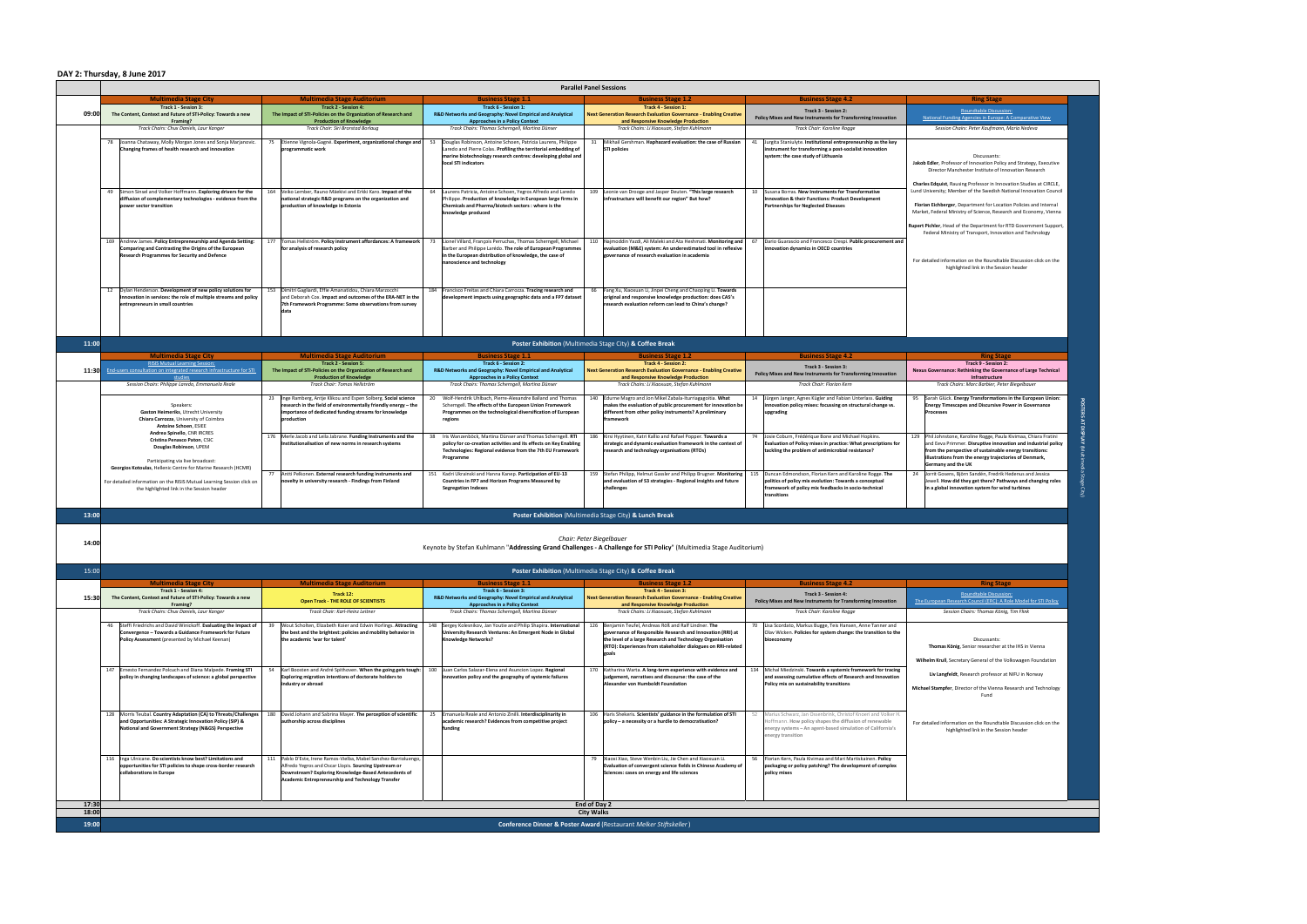|                | <b>Parallel Panel Sessions</b>                                                                                                   |                                                                                                                                     |                                                                                                                                    |                                                                                                                                                 |                                                                                                                                  |                                                                                                                                           |  |  |  |
|----------------|----------------------------------------------------------------------------------------------------------------------------------|-------------------------------------------------------------------------------------------------------------------------------------|------------------------------------------------------------------------------------------------------------------------------------|-------------------------------------------------------------------------------------------------------------------------------------------------|----------------------------------------------------------------------------------------------------------------------------------|-------------------------------------------------------------------------------------------------------------------------------------------|--|--|--|
|                | <b>Multimedia Stage City</b><br><b>Track 1 - Session 3:</b>                                                                      | <b>Multimedia Stage Auditorium</b><br><b>Track 2 - Session 4:</b>                                                                   | <b>Business Stage 1.1</b><br>Track 6 - Session 1:                                                                                  | <b>Business Stage 1.2</b><br><b>Track 4 - Session 1:</b>                                                                                        | <b>Business Stage 4.2</b>                                                                                                        | <b>Ring Stage</b>                                                                                                                         |  |  |  |
| 09:00          | The Content, Context and Future of STI-Policy: Towards a new                                                                     | The Impact of STI-Policies on the Organization of Research and                                                                      | R&D Networks and Geography: Novel Empirical and Analytical                                                                         | <b>Next Generation Research Evaluation Governance - Enabling Creative</b>                                                                       | Track 3 - Session 2:<br>Policy Mixes and New Instruments for Transforming Innovation                                             | Roundtable Discussion:<br>National Funding Agencies in Europe: A Comparative View                                                         |  |  |  |
|                | Framing?<br>Track Chairs: Chux Daniels, Laur Kanger                                                                              | <b>Production of Knowledge</b><br>Track Chair: Siri Brorstad Borlaug                                                                | <b>Approaches in a Policy Context</b><br>Track Chairs: Thomas Scherngell, Martina Dünser                                           | and Responsive Knowledge Production<br>Track Chairs: Li Xiaoxuan, Stefan Kuhlmann                                                               | Track Chair: Karoline Rogge                                                                                                      | Session Chairs: Peter Kaufmann, Maria Nedeva                                                                                              |  |  |  |
|                | 78 Joanna Chataway, Molly Morgan Jones and Sonja Marjanovic                                                                      | Etienne Vignola-Gagné. Experiment, organizational change and<br>75                                                                  | Douglas Robinson, Antoine Schoen, Patricia Laurens, Philippe                                                                       | 31 Mikhail Gershman. Haphazard evaluation: the case of Russian                                                                                  | Jurgita Staniulyte. Institutional entrepreneurship as the key<br>41                                                              |                                                                                                                                           |  |  |  |
|                | Changing frames of health research and innovation                                                                                | programmatic work                                                                                                                   | Laredo and Pierre Colas. Profiling the territorial embedding of                                                                    | <b>STI policies</b>                                                                                                                             | instrument for transforming a post-socialist innovation<br>system: the case study of Lithuania                                   |                                                                                                                                           |  |  |  |
|                |                                                                                                                                  |                                                                                                                                     | marine biotechnology research centres: developing global and<br>local STI indicators                                               |                                                                                                                                                 |                                                                                                                                  | Discussants:<br>Jakob Edler, Professor of Innovation Policy and Strategy, Executive                                                       |  |  |  |
|                |                                                                                                                                  |                                                                                                                                     |                                                                                                                                    |                                                                                                                                                 |                                                                                                                                  | Director Manchester Institute of Innovation Research                                                                                      |  |  |  |
|                |                                                                                                                                  |                                                                                                                                     |                                                                                                                                    |                                                                                                                                                 | 10 Susana Borras. New Instruments for Transformative                                                                             | Charles Edquist, Rausing Professor in Innovation Studies at CIRCLE,<br>Lund University; Member of the Swedish National Innovation Council |  |  |  |
|                | 49 Simon Sinsel and Volker Hoffmann. Exploring drivers for the<br>diffusion of complementary technologies - evidence from the    | 164 Veiko Lember, Rauno Mäekivi and Erkki Karo. Impact of the<br>national strategic R&D programs on the organization and            | 64   Laurens Patricia, Antoine Schoen, Yegros Alfredo and Laredo<br>Philippe. Production of knowledge in European large firms in   | 109 Leonie van Drooge and Jasper Deuten. "This large research<br>infrastructure will benefit our region" But how?                               | Innovation & their Functions: Product Development                                                                                |                                                                                                                                           |  |  |  |
|                | power sector transition                                                                                                          | production of knowledge in Estonia                                                                                                  | Chemicals and Pharma/biotech sectors : where is the<br>knowledge produced                                                          |                                                                                                                                                 | <b>Partnerships for Neglected Diseases</b>                                                                                       | Florian Eichberger, Department for Location Policies and Internal<br>Market, Federal Ministry of Science, Research and Economy, Vienna    |  |  |  |
|                |                                                                                                                                  |                                                                                                                                     |                                                                                                                                    |                                                                                                                                                 |                                                                                                                                  | Rupert Pichler, Head of the Department for RTD Government Support,                                                                        |  |  |  |
|                |                                                                                                                                  |                                                                                                                                     |                                                                                                                                    |                                                                                                                                                 |                                                                                                                                  | Federal Ministry of Transport, Innovation and Technology                                                                                  |  |  |  |
|                | 169 Andrew James. Policy Entrepreneurship and Agenda Setting<br>Comparing and Contrasting the Origins of the European            | 177 Tomas Hellström. Policy instrument affordances: A framework<br>for analysis of research policy                                  | Lionel Villard, François Perruchas, Thomas Scherngell, Michael<br>Barber and Philippe Larédo. The role of European Programmes      | 110 Najmoddin Yazdi, Ali Maleki and Ata Heshmati. Monitoring and<br>evaluation (M&E) system: An underestimated tool in reflexive                | Dario Guarascio and Francesco Crespi. Public procurement and<br>innovation dynamics in OECD countries                            |                                                                                                                                           |  |  |  |
|                | <b>Research Programmes for Security and Defence</b>                                                                              |                                                                                                                                     | in the European distribution of knowledge, the case of<br>nanoscience and technology                                               | governance of research evaluation in academia                                                                                                   |                                                                                                                                  | For detailed information on the Roundtable Discussion click on the                                                                        |  |  |  |
|                |                                                                                                                                  |                                                                                                                                     |                                                                                                                                    |                                                                                                                                                 |                                                                                                                                  | highlighted link in the Session header                                                                                                    |  |  |  |
|                |                                                                                                                                  |                                                                                                                                     |                                                                                                                                    |                                                                                                                                                 |                                                                                                                                  |                                                                                                                                           |  |  |  |
|                | 12   Dylan Henderson. Development of new policy solutions for<br>Innovation in services: the role of multiple streams and policy | 153   Dimitri Gagliardi, Effie Amanatidou, Chiara Marzocchi<br>and Deborah Cox. Impact and outcomes of the ERA-NET in the           | 184 Francisco Freitas and Chiara Carrozza. Tracing research and<br>development impacts using geographic data and a FP7 dataset     | 66 Fang Xu, Xiaoxuan Li, Jinpei Cheng and Chaoping Li. Towards<br>original and responsive knowledge production: does CAS's                      |                                                                                                                                  |                                                                                                                                           |  |  |  |
|                | entrepreneurs in small countries                                                                                                 | 7th Framework Programme: Some observations from survey                                                                              |                                                                                                                                    | research evaluation reform can lead to China's change?                                                                                          |                                                                                                                                  |                                                                                                                                           |  |  |  |
|                |                                                                                                                                  | ldata                                                                                                                               |                                                                                                                                    |                                                                                                                                                 |                                                                                                                                  |                                                                                                                                           |  |  |  |
|                |                                                                                                                                  |                                                                                                                                     |                                                                                                                                    |                                                                                                                                                 |                                                                                                                                  |                                                                                                                                           |  |  |  |
| 11:00          |                                                                                                                                  |                                                                                                                                     |                                                                                                                                    | <b>Poster Exhibition</b> (Multimedia Stage City) & Coffee Break                                                                                 |                                                                                                                                  |                                                                                                                                           |  |  |  |
|                | <b>Multimedia Stage City</b>                                                                                                     | <b>Multimedia Stage Auditorium</b>                                                                                                  | <b>Business Stage 1.1</b>                                                                                                          | <b>Business Stage 1.2</b>                                                                                                                       | <b>Business Stage 4.2</b>                                                                                                        | <b>Ring Stage</b>                                                                                                                         |  |  |  |
|                | <b>RISIS Mutual Learning Session:</b>                                                                                            | <b>Track 2 - Session 5:</b>                                                                                                         | Track 6 - Session 2:                                                                                                               | <b>Track 4 - Session 2:</b>                                                                                                                     | Track 3 - Session 3:                                                                                                             | Track 9 - Session 2:                                                                                                                      |  |  |  |
|                | 11:30 End-users consultation on integrated research infrastructure for STI<br>studies                                            | The Impact of STI-Policies on the Organization of Research and<br><b>Production of Knowledge</b>                                    | R&D Networks and Geography: Novel Empirical and Analytical<br><b>Approaches in a Policy Context</b>                                | <b>Next Generation Research Evaluation Governance - Enabling Creative</b><br>and Responsive Knowledge Production                                | Policy Mixes and New Instruments for Transforming Innovation                                                                     | Nexus Governance: Rethinking the Governance of Large Technical<br>Infrastructure                                                          |  |  |  |
|                | Session Chairs: Philippe Laredo, Emmanuela Reale                                                                                 | Track Chair: Tomas Hellström                                                                                                        | Track Chairs: Thomas Scherngell, Martina Dünser                                                                                    | Track Chairs: Li Xiaoxuan, Stefan Kuhlmann                                                                                                      | Track Chair: Florian Kern                                                                                                        | Track Chairs: Marc Barbier, Peter Biegelbauer                                                                                             |  |  |  |
|                | Speakers:                                                                                                                        | 23   Inge Ramberg, Antje Klikou and Espen Solberg. Social science<br>research in the field of environmentally friendly energy - the | Wolf-Hendrik Uhlbach, Pierre-Alexandre Balland and Thomas<br>Scherngell. The effects of the European Union Framework               | 140 Edurne Magro and Jon Mikel Zabala-Iturriagagoitia. What<br>makes the evaluation of public procurement for innovation be                     | Jürgen Janger, Agnes Kügler and Fabian Unterlass. Guiding<br>innovation policy mixes: focussing on structural change vs.         | Sarah Glück. Energy Transformations in the European Union:<br><b>Energy Timescapes and Discursive Power in Governance</b>                 |  |  |  |
|                | <b>Gaston Heimeriks, Utrecht University</b>                                                                                      | importance of dedicated funding streams for knowledge                                                                               | Programmes on the technological diversification of European                                                                        | different from other policy instruments? A preliminary                                                                                          | upgrading                                                                                                                        | <b>Processes</b>                                                                                                                          |  |  |  |
|                | <b>Chiara Carrozza, University of Coimbra</b><br><b>Antoine Schoen, ESIEE</b>                                                    | production                                                                                                                          | regions                                                                                                                            | framework                                                                                                                                       |                                                                                                                                  |                                                                                                                                           |  |  |  |
|                | <b>Andrea Spinello, CNR IRCRES</b><br><b>Cristina Penasco Paton, CSIC</b>                                                        | 176 Merle Jacob and Leila Jabrane. Funding Instruments and the                                                                      | Iris Wanzenböck, Martina Dünser and Thomas Scherngell. RTI                                                                         | 186   Kirsi Hyytinen, Katri Kallio and Rafael Popper. Towards a                                                                                 | Josie Coburn, Frédérique Bone and Michael Hopkins.                                                                               | 129 Phil Johnstone, Karoline Rogge, Paula Kivimaa, Chiara Fratini                                                                         |  |  |  |
|                | <b>Douglas Robinson, UPEM</b>                                                                                                    | Institutionalisation of new norms in research systems                                                                               | policy for co-creation activities and its effects on Key Enabling<br>Technologies: Regional evidence from the 7th EU Framework     | strategic and dynamic evaluation framework in the context of<br>research and technology organisations (RTOs)                                    | <b>Evaluation of Policy mixes in practice: What prescriptions for</b><br>tackling the problem of antimicrobial resistance?       | and Eeva Primmer. Disruptive innovation and industrial policy<br>from the perspective of sustainable energy transitions:                  |  |  |  |
|                | Participating via live broadcast:                                                                                                |                                                                                                                                     | Programme                                                                                                                          |                                                                                                                                                 |                                                                                                                                  | illustrations from the energy trajectories of Denmark,<br><b>Germany and the UK</b>                                                       |  |  |  |
|                | Georgios Kotoulas, Hellenic Centre for Marine Research (HCMR)                                                                    | Antti Pelkonen. External research funding instruments and<br>77                                                                     | Kadri Ukrainski and Hanna Kanep. Participation of EU-13                                                                            | 159 Stefan Philipp, Helmut Gassler and Philipp Brugner. Monitoring                                                                              | Duncan Edmondson, Florian Kern and Karoline Rogge. The<br>115                                                                    | Jorrit Gosens, Björn Sandén, Fredrik Hedenus and Jessica<br>-24                                                                           |  |  |  |
|                | For detailed information on the RISIS Mutual Learning Session click on<br>the highlighted link in the Session header             | novelty in university research - Findings from Finland                                                                              | <b>Countries in FP7 and Horizon Programs Measured by</b><br><b>Segregation Indexes</b>                                             | and evaluation of S3 strategies - Regional insights and future<br>challenges                                                                    | politics of policy mix evolution: Towards a conceptual<br>framework of policy mix feedbacks in socio-technical                   | Jewell. How did they get there? Pathways and changing roles<br>in a global innovation system for wind turbines                            |  |  |  |
|                |                                                                                                                                  |                                                                                                                                     |                                                                                                                                    |                                                                                                                                                 | transitions                                                                                                                      |                                                                                                                                           |  |  |  |
|                |                                                                                                                                  |                                                                                                                                     |                                                                                                                                    |                                                                                                                                                 |                                                                                                                                  |                                                                                                                                           |  |  |  |
|                | <b>Poster Exhibition</b> (Multimedia Stage City) & Lunch Break<br>13:00                                                          |                                                                                                                                     |                                                                                                                                    |                                                                                                                                                 |                                                                                                                                  |                                                                                                                                           |  |  |  |
|                |                                                                                                                                  |                                                                                                                                     |                                                                                                                                    |                                                                                                                                                 |                                                                                                                                  |                                                                                                                                           |  |  |  |
| 14:00          |                                                                                                                                  |                                                                                                                                     |                                                                                                                                    | Chair: Peter Biegelbauer<br>Keynote by Stefan Kuhlmann "Addressing Grand Challenges - A Challenge for STI Policy" (Multimedia Stage Auditorium) |                                                                                                                                  |                                                                                                                                           |  |  |  |
|                |                                                                                                                                  |                                                                                                                                     |                                                                                                                                    |                                                                                                                                                 |                                                                                                                                  |                                                                                                                                           |  |  |  |
| 15:00          |                                                                                                                                  |                                                                                                                                     |                                                                                                                                    | <b>Poster Exhibition</b> (Multimedia Stage City) & Coffee Break                                                                                 |                                                                                                                                  |                                                                                                                                           |  |  |  |
|                | <b>Multimedia Stage City</b>                                                                                                     | <b>Multimedia Stage Auditorium</b>                                                                                                  | <b>Business Stage 1.1</b>                                                                                                          | <b>Business Stage 1.2</b>                                                                                                                       | <b>Business Stage 4.2</b>                                                                                                        | <b>Ring Stage</b>                                                                                                                         |  |  |  |
| 15:30          | <b>Track 1 - Session 4:</b><br>The Content, Context and Future of STI-Policy: Towards a new                                      | Track 12:                                                                                                                           | Track 6 - Session 3:<br>R&D Networks and Geography: Novel Empirical and Analytical                                                 | <b>Track 4 - Session 3:</b><br><b>Next Generation Research Evaluation Governance - Enabling Creative</b>                                        | <b>Track 3 - Session 4:</b>                                                                                                      | Roundtable Discussion:                                                                                                                    |  |  |  |
|                | Framing?<br>Track Chairs: Chux Daniels, Laur Kanger                                                                              | <b>Open Track - THE ROLE OF SCIENTISTS</b><br>Track Chair: Karl-Heinz Leitner                                                       | <b>Approaches in a Policy Context</b><br>Track Chairs: Thomas Scherngell, Martina Dünser                                           | and Responsive Knowledge Production<br>Track Chairs: Li Xiaoxuan, Stefan Kuhlmann                                                               | Policy Mixes and New Instruments for Transforming Innovation<br>Track Chair: Karoline Rogge                                      | The European Research Council (ERC): A Role Model for STI Policy<br>Session Chairs: Thomas König, Tim Flink                               |  |  |  |
|                |                                                                                                                                  |                                                                                                                                     |                                                                                                                                    |                                                                                                                                                 |                                                                                                                                  |                                                                                                                                           |  |  |  |
|                | 46 Steffi Friedrichs and David Winickoff. Evaluating the Impact of<br>Convergence – Towards a Guidance Framework for Future      | Wout Scholten, Elizabeth Koier and Edwin Horlings. Attracting<br>the best and the brightest: policies and mobility behavior in      | Sergey Kolesnikov, Jan Youtie and Philip Shapira. International<br>148<br>University Research Ventures: An Emergent Node in Global | 126 Benjamin Teufel, Andreas Röß and Ralf Lindner. The<br>governance of Responsible Research and Innovation (RRI) at                            | 70   Lisa Scordato, Markus Bugge, Teis Hansen, Anne Tanner and<br>Olav Wicken. Policies for system change: the transition to the |                                                                                                                                           |  |  |  |
|                | Policy Assessment (presented by Michael Keenan)                                                                                  | the academic 'war for talent'                                                                                                       | <b>Knowledge Networks?</b>                                                                                                         | the level of a large Research and Technology Organisation<br>(RTO): Experiences from stakeholder dialogues on RRI-related                       | bioeconomy                                                                                                                       | Discussants:<br>Thomas König, Senior researcher at the IHS in Vienna                                                                      |  |  |  |
|                |                                                                                                                                  |                                                                                                                                     |                                                                                                                                    |                                                                                                                                                 |                                                                                                                                  |                                                                                                                                           |  |  |  |
|                | 147   Ernesto Fernandez Polcuch and Diana Malpede. Framing STI                                                                   | 54   Karl Boosten and André Spithoven. When the going gets tough:                                                                   | Juan Carlos Salazar-Elena and Asuncion Lopez. Regional<br>100                                                                      | 170 Katharina Warta. A long-term experience with evidence and                                                                                   | Michal Miedzinski. Towards a systemic framework for tracing<br>134                                                               | Wilhelm Krull, Secretary General of the Volkswagen Foundation                                                                             |  |  |  |
|                | policy in changing landscapes of science: a global perspective                                                                   | Exploring migration intentions of doctorate holders to                                                                              | innovation policy and the geography of systemic failures                                                                           | judgement, narratives and discourse: the case of the<br>Alexander von Humboldt Foundation                                                       | and assessing cumulative effects of Research and Innovation                                                                      | Liv Langfeldt, Research professor at NIFU in Norway                                                                                       |  |  |  |
|                |                                                                                                                                  | industry or abroad                                                                                                                  |                                                                                                                                    |                                                                                                                                                 | Policy mix on sustainability transitions                                                                                         | Michael Stampfer, Director of the Vienna Research and Technology<br>Fund                                                                  |  |  |  |
|                |                                                                                                                                  |                                                                                                                                     |                                                                                                                                    |                                                                                                                                                 |                                                                                                                                  |                                                                                                                                           |  |  |  |
|                | 128   Morris Teubal. Country Adaptation (CA) to Threats/Challenges                                                               | 180  David Johann and Sabrina Mayer. The perception of scientific                                                                   | 25 Emanuela Reale and Antonio Zinilli. Interdisciplinarity in                                                                      | 106   Haris Shekeris. Scientists' guidance in the formulation of STI                                                                            | Marius Schwarz, Jan Ossenbrink, Christof Knoeri and Volker H.                                                                    |                                                                                                                                           |  |  |  |
|                | and Opportunities: A Strategic Innovation Policy (SIP) &<br>National and Government Strategy (N&GS) Perspective                  | authorship across disciplines                                                                                                       | academic research? Evidences from competitive project<br>funding                                                                   | policy - a necessity or a hurdle to democratisation?                                                                                            | Hoffmann. How policy shapes the diffusion of renewable<br>energy systems - An agent-based simulation of California's             | For detailed information on the Roundtable Discussion click on the<br>highlighted link in the Session header                              |  |  |  |
|                |                                                                                                                                  |                                                                                                                                     |                                                                                                                                    |                                                                                                                                                 | energy transition                                                                                                                |                                                                                                                                           |  |  |  |
|                |                                                                                                                                  |                                                                                                                                     |                                                                                                                                    |                                                                                                                                                 |                                                                                                                                  |                                                                                                                                           |  |  |  |
|                | 116   Inga Ulnicane. Do scientists know best? Limitations and<br>opportunities for STI policies to shape cross-border research   | 111   Pablo D'Este, Irene Ramos-Vielba, Mabel Sanchez-Barrioluengo,<br>Alfredo Yegros and Oscar Llopis. Sourcing Upstream or        |                                                                                                                                    | 79   Xiaoxi Xiao, Steve Wenbin Liu, Jie Chen and Xiaoxuan Li.<br><b>Evaluation of convergent science fields in Chinese Academy of</b>           | Florian Kern, Paula Kivimaa and Mari Martiskainen. Policy<br>packaging or policy patching? The development of complex            |                                                                                                                                           |  |  |  |
|                | collaborations in Europe                                                                                                         | Downstream? Exploring Knowledge-Based Antecedents of                                                                                |                                                                                                                                    | Sciences: cases on energy and life sciences                                                                                                     | policy mixes                                                                                                                     |                                                                                                                                           |  |  |  |
|                |                                                                                                                                  | Academic Entrepreneurship and Technology Transfer                                                                                   |                                                                                                                                    |                                                                                                                                                 |                                                                                                                                  |                                                                                                                                           |  |  |  |
|                |                                                                                                                                  |                                                                                                                                     |                                                                                                                                    |                                                                                                                                                 |                                                                                                                                  |                                                                                                                                           |  |  |  |
| 17:30<br>18:00 | End of Day 2<br><b>City Walks</b>                                                                                                |                                                                                                                                     |                                                                                                                                    |                                                                                                                                                 |                                                                                                                                  |                                                                                                                                           |  |  |  |
| 19:00          | Conference Dinner & Poster Award (Restaurant Melker Stiftskeller)                                                                |                                                                                                                                     |                                                                                                                                    |                                                                                                                                                 |                                                                                                                                  |                                                                                                                                           |  |  |  |
|                |                                                                                                                                  |                                                                                                                                     |                                                                                                                                    |                                                                                                                                                 |                                                                                                                                  |                                                                                                                                           |  |  |  |

## **DAY 2: Thursday, 8 June 2017**